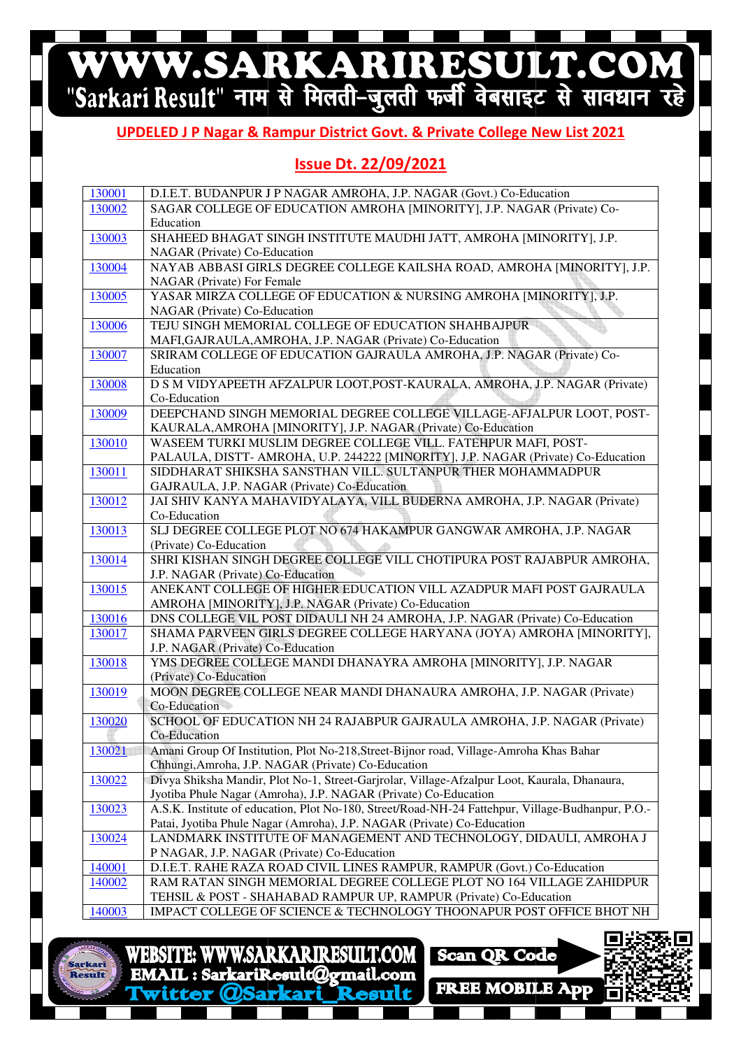# WWW.SARKARIRESULT.COM

#### **UPDELED J P Nagar & Rampur District Govt. & Private College New List 2021**

#### **Issue Dt. 22/09/2021**

| 130001 | D.I.E.T. BUDANPUR J P NAGAR AMROHA, J.P. NAGAR (Govt.) Co-Education                               |
|--------|---------------------------------------------------------------------------------------------------|
| 130002 | SAGAR COLLEGE OF EDUCATION AMROHA [MINORITY], J.P. NAGAR (Private) Co-                            |
|        | Education                                                                                         |
| 130003 | SHAHEED BHAGAT SINGH INSTITUTE MAUDHI JATT, AMROHA [MINORITY], J.P.                               |
|        | NAGAR (Private) Co-Education                                                                      |
| 130004 | NAYAB ABBASI GIRLS DEGREE COLLEGE KAILSHA ROAD, AMROHA [MINORITY], J.P.                           |
|        | NAGAR (Private) For Female                                                                        |
| 130005 | YASAR MIRZA COLLEGE OF EDUCATION & NURSING AMROHA [MINORITY], J.P.                                |
|        | NAGAR (Private) Co-Education                                                                      |
| 130006 | TEJU SINGH MEMORIAL COLLEGE OF EDUCATION SHAHBAJPUR                                               |
|        | MAFI, GAJRAULA, AMROHA, J.P. NAGAR (Private) Co-Education                                         |
| 130007 | SRIRAM COLLEGE OF EDUCATION GAJRAULA AMROHA, J.P. NAGAR (Private) Co-                             |
|        | Education                                                                                         |
| 130008 | D S M VIDYAPEETH AFZALPUR LOOT, POST-KAURALA, AMROHA, J.P. NAGAR (Private)                        |
|        | Co-Education                                                                                      |
| 130009 | DEEPCHAND SINGH MEMORIAL DEGREE COLLEGE VILLAGE-AFJALPUR LOOT, POST-                              |
|        | KAURALA, AMROHA [MINORITY], J.P. NAGAR (Private) Co-Education                                     |
| 130010 | WASEEM TURKI MUSLIM DEGREE COLLEGE VILL. FATEHPUR MAFI, POST-                                     |
|        | PALAULA, DISTT- AMROHA, U.P. 244222 [MINORITY], J.P. NAGAR (Private) Co-Education                 |
| 130011 | SIDDHARAT SHIKSHA SANSTHAN VILL. SULTANPUR THER MOHAMMADPUR                                       |
|        | GAJRAULA, J.P. NAGAR (Private) Co-Education                                                       |
| 130012 | JAI SHIV KANYA MAHAVIDYALAYA, VILL BUDERNA AMROHA, J.P. NAGAR (Private)                           |
|        | Co-Education                                                                                      |
| 130013 | SLJ DEGREE COLLEGE PLOT NO 674 HAKAMPUR GANGWAR AMROHA, J.P. NAGAR                                |
|        | (Private) Co-Education                                                                            |
| 130014 | SHRI KISHAN SINGH DEGREE COLLEGE VILL CHOTIPURA POST RAJABPUR AMROHA,                             |
|        | J.P. NAGAR (Private) Co-Education                                                                 |
| 130015 | ANEKANT COLLEGE OF HIGHER EDUCATION VILL AZADPUR MAFI POST GAJRAULA                               |
|        | AMROHA [MINORITY], J.P. NAGAR (Private) Co-Education                                              |
| 130016 | DNS COLLEGE VIL POST DIDAULI NH 24 AMROHA, J.P. NAGAR (Private) Co-Education                      |
| 130017 | SHAMA PARVEEN GIRLS DEGREE COLLEGE HARYANA (JOYA) AMROHA [MINORITY],                              |
|        | J.P. NAGAR (Private) Co-Education                                                                 |
| 130018 | YMS DEGREE COLLEGE MANDI DHANAYRA AMROHA [MINORITY], J.P. NAGAR                                   |
|        | (Private) Co-Education                                                                            |
| 130019 | MOON DEGREE COLLEGE NEAR MANDI DHANAURA AMROHA, J.P. NAGAR (Private)                              |
|        | Co-Education                                                                                      |
| 130020 | SCHOOL OF EDUCATION NH 24 RAJABPUR GAJRAULA AMROHA, J.P. NAGAR (Private)                          |
|        | Co-Education                                                                                      |
| 130021 | Amani Group Of Institution, Plot No-218, Street-Bijnor road, Village-Amroha Khas Bahar            |
|        | Chhungi, Amroha, J.P. NAGAR (Private) Co-Education                                                |
| 130022 | Divya Shiksha Mandir, Plot No-1, Street-Garjrolar, Village-Afzalpur Loot, Kaurala, Dhanaura,      |
|        | Jyotiba Phule Nagar (Amroha), J.P. NAGAR (Private) Co-Education                                   |
| 130023 | A.S.K. Institute of education, Plot No-180, Street/Road-NH-24 Fattehpur, Village-Budhanpur, P.O.- |
|        | Patai, Jyotiba Phule Nagar (Amroha), J.P. NAGAR (Private) Co-Education                            |
| 130024 | LANDMARK INSTITUTE OF MANAGEMENT AND TECHNOLOGY, DIDAULI, AMROHA J                                |
|        | P NAGAR, J.P. NAGAR (Private) Co-Education                                                        |
| 140001 | D.I.E.T. RAHE RAZA ROAD CIVIL LINES RAMPUR, RAMPUR (Govt.) Co-Education                           |
| 140002 | RAM RATAN SINGH MEMORIAL DEGREE COLLEGE PLOT NO 164 VILLAGE ZAHIDPUR                              |
|        | TEHSIL & POST - SHAHABAD RAMPUR UP, RAMPUR (Private) Co-Education                                 |
| 140003 | IMPACT COLLEGE OF SCIENCE & TECHNOLOGY THOONAPUR POST OFFICE BHOT NH                              |



**WWW.SARKARIRESULT.COM WEBSITE:** EMAIL: SarkariResult@gmail.com